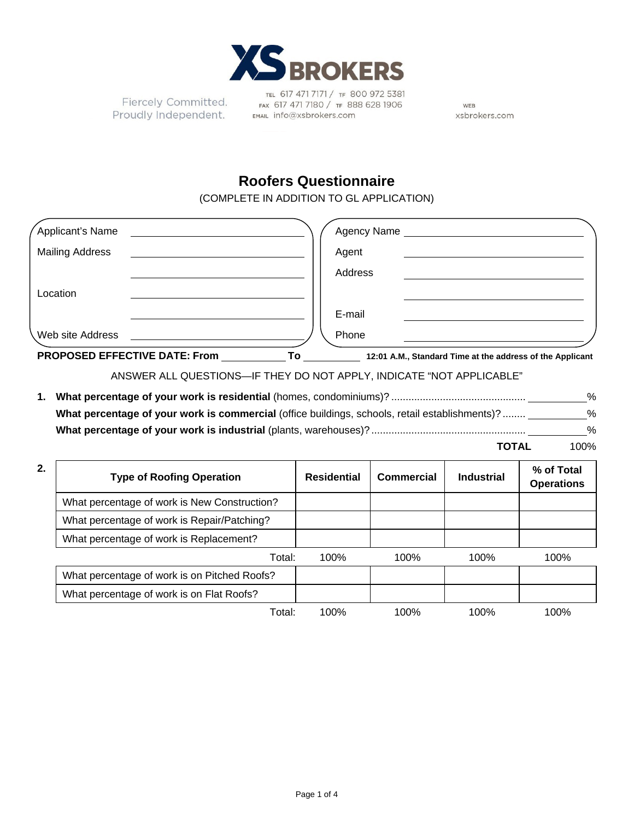

Fiercely Committed. Proudly Independent.

TEL 617 471 7171 / TF 800 972 5381 FAX 617 471 7180 / TF 888 628 1906 EMAIL info@xsbrokers.com

WEB xsbrokers.com

## **Roofers Questionnaire**

(COMPLETE IN ADDITION TO GL APPLICATION)

| <b>PROPOSED EFFECTIVE DATE: From</b> | To          | 12:01 A.M., Standard Time at the address of the Applicant |
|--------------------------------------|-------------|-----------------------------------------------------------|
| Web site Address                     | Phone       |                                                           |
|                                      | E-mail      |                                                           |
| Location                             |             |                                                           |
|                                      | Address     |                                                           |
| <b>Mailing Address</b>               | Agent       |                                                           |
| Applicant's Name                     | Agency Name |                                                           |

## ANSWER ALL QUESTIONS—IF THEY DO NOT APPLY, INDICATE "NOT APPLICABLE"

|                                                                                                | ℅    |
|------------------------------------------------------------------------------------------------|------|
| What percentage of your work is commercial (office buildings, schools, retail establishments)? | ℅    |
|                                                                                                | $\%$ |

**TOTAL** 100%

| 2. | <b>Type of Roofing Operation</b>             | <b>Residential</b> | Commercial | <b>Industrial</b> | % of Total<br><b>Operations</b> |
|----|----------------------------------------------|--------------------|------------|-------------------|---------------------------------|
|    | What percentage of work is New Construction? |                    |            |                   |                                 |
|    | What percentage of work is Repair/Patching?  |                    |            |                   |                                 |
|    | What percentage of work is Replacement?      |                    |            |                   |                                 |
|    | Total:                                       | 100%               | 100%       | 100%              | 100%                            |
|    | What percentage of work is on Pitched Roofs? |                    |            |                   |                                 |
|    | What percentage of work is on Flat Roofs?    |                    |            |                   |                                 |
|    | Total:                                       | 100%               | 100%       | 100%              | 100%                            |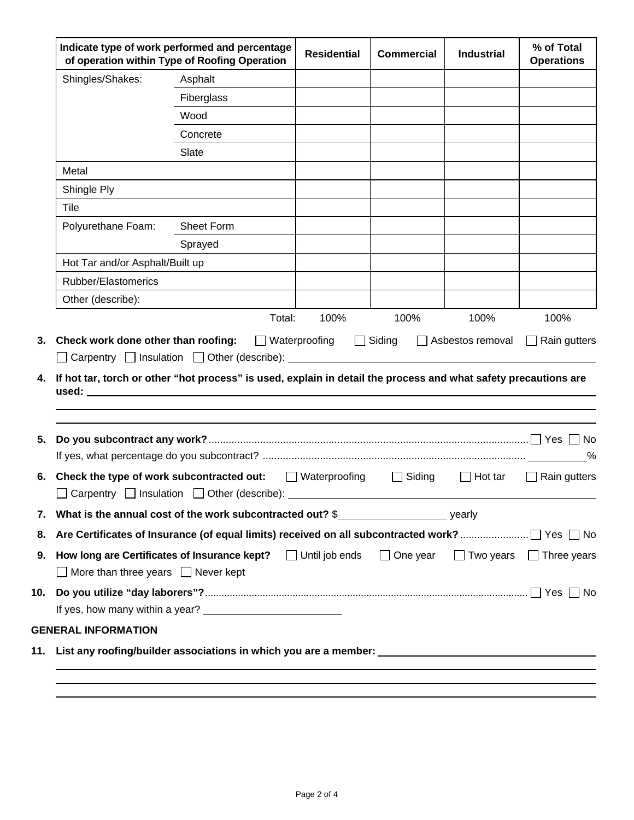| of operation within Type of Roofing Operation  |                                                                                                                                                                                    |                |                                     |                | <b>Operations</b>                   |
|------------------------------------------------|------------------------------------------------------------------------------------------------------------------------------------------------------------------------------------|----------------|-------------------------------------|----------------|-------------------------------------|
| Shingles/Shakes:                               | Asphalt                                                                                                                                                                            |                |                                     |                |                                     |
|                                                | Fiberglass                                                                                                                                                                         |                |                                     |                |                                     |
|                                                | Wood                                                                                                                                                                               |                |                                     |                |                                     |
|                                                | Concrete                                                                                                                                                                           |                |                                     |                |                                     |
|                                                | Slate                                                                                                                                                                              |                |                                     |                |                                     |
| Metal                                          |                                                                                                                                                                                    |                |                                     |                |                                     |
| Shingle Ply                                    |                                                                                                                                                                                    |                |                                     |                |                                     |
| Tile                                           |                                                                                                                                                                                    |                |                                     |                |                                     |
| Polyurethane Foam:                             | Sheet Form                                                                                                                                                                         |                |                                     |                |                                     |
|                                                | Sprayed                                                                                                                                                                            |                |                                     |                |                                     |
| Hot Tar and/or Asphalt/Built up                |                                                                                                                                                                                    |                |                                     |                |                                     |
| Rubber/Elastomerics                            |                                                                                                                                                                                    |                |                                     |                |                                     |
| Other (describe):                              |                                                                                                                                                                                    |                |                                     |                |                                     |
|                                                | <b>Check work done other than roofing:</b> $\Box$ Waterproofing<br>If hot tar, torch or other "hot process" is used, explain in detail the process and what safety precautions are | 100%<br>Total: | 100%<br>□ Siding □ Asbestos removal | 100%           | 100%<br>$\Box$ Rain gutters         |
|                                                |                                                                                                                                                                                    |                |                                     |                |                                     |
|                                                |                                                                                                                                                                                    |                |                                     |                | %                                   |
|                                                | 6. Check the type of work subcontracted out: I Waterproofing I Siding<br>Carpentry $\Box$ Insulation $\Box$ Other (describe):                                                      |                |                                     | $\Box$ Hot tar | $\Box$ Rain gutters                 |
|                                                | 7. What is the annual cost of the work subcontracted out? $\$ $\$                                                                                                                  |                |                                     |                |                                     |
|                                                |                                                                                                                                                                                    |                |                                     |                |                                     |
| $\Box$ More than three years $\Box$ Never kept | 9. How long are Certificates of Insurance kept? $\Box$ Until job ends $\Box$ One year                                                                                              |                |                                     |                | $\Box$ Two years $\Box$ Three years |
|                                                |                                                                                                                                                                                    |                |                                     |                |                                     |
|                                                |                                                                                                                                                                                    |                |                                     |                |                                     |
| <b>GENERAL INFORMATION</b>                     |                                                                                                                                                                                    |                |                                     |                |                                     |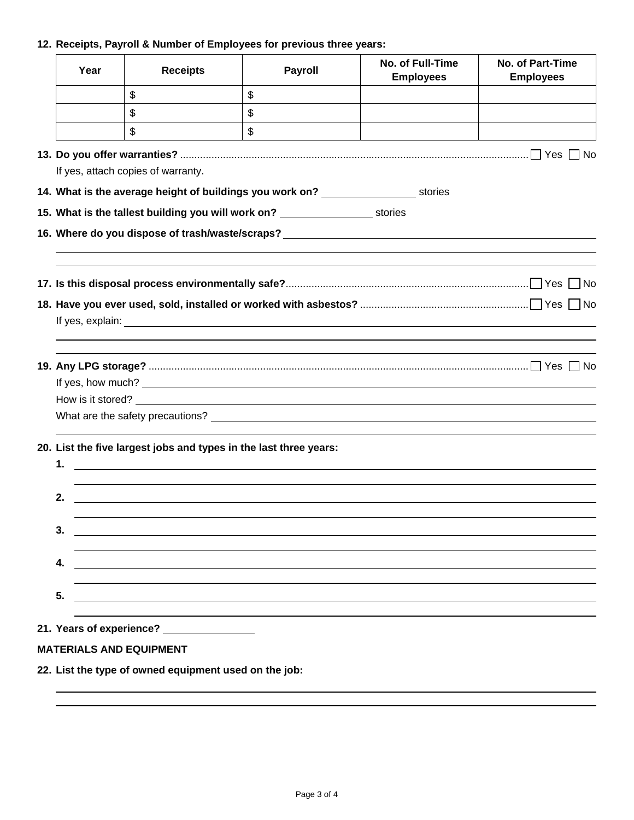## **12. Receipts, Payroll & Number of Employees for previous three years:**

| Year | <b>Receipts</b>                    | Payroll                                                                                                               | No. of Full-Time<br><b>Employees</b>                                             | <b>No. of Part-Time</b><br><b>Employees</b> |  |  |  |
|------|------------------------------------|-----------------------------------------------------------------------------------------------------------------------|----------------------------------------------------------------------------------|---------------------------------------------|--|--|--|
|      | \$                                 | $\mathsf{\$}$                                                                                                         |                                                                                  |                                             |  |  |  |
|      | \$                                 | \$                                                                                                                    |                                                                                  |                                             |  |  |  |
|      | \$                                 | $\boldsymbol{\mathsf{S}}$                                                                                             |                                                                                  |                                             |  |  |  |
|      |                                    |                                                                                                                       |                                                                                  |                                             |  |  |  |
|      | If yes, attach copies of warranty. |                                                                                                                       |                                                                                  |                                             |  |  |  |
|      |                                    | 14. What is the average height of buildings you work on? _______________________ stories                              |                                                                                  |                                             |  |  |  |
|      |                                    | 15. What is the tallest building you will work on? ________________________ stories                                   |                                                                                  |                                             |  |  |  |
|      |                                    |                                                                                                                       | 16. Where do you dispose of trash/waste/scraps? ________________________________ |                                             |  |  |  |
|      |                                    |                                                                                                                       |                                                                                  |                                             |  |  |  |
|      |                                    |                                                                                                                       |                                                                                  |                                             |  |  |  |
|      |                                    |                                                                                                                       |                                                                                  |                                             |  |  |  |
|      |                                    |                                                                                                                       |                                                                                  |                                             |  |  |  |
|      |                                    |                                                                                                                       |                                                                                  |                                             |  |  |  |
|      |                                    |                                                                                                                       |                                                                                  |                                             |  |  |  |
|      |                                    |                                                                                                                       |                                                                                  |                                             |  |  |  |
|      |                                    |                                                                                                                       |                                                                                  |                                             |  |  |  |
|      |                                    |                                                                                                                       |                                                                                  |                                             |  |  |  |
|      |                                    |                                                                                                                       |                                                                                  |                                             |  |  |  |
|      |                                    | 20. List the five largest jobs and types in the last three years:                                                     |                                                                                  |                                             |  |  |  |
| 1.   |                                    | <u> 1989 - Johann Harry Harry Harry Harry Harry Harry Harry Harry Harry Harry Harry Harry Harry Harry Harry Harry</u> |                                                                                  |                                             |  |  |  |
| 2.   |                                    |                                                                                                                       |                                                                                  |                                             |  |  |  |
|      |                                    |                                                                                                                       |                                                                                  |                                             |  |  |  |
| 3.   |                                    |                                                                                                                       |                                                                                  |                                             |  |  |  |
|      |                                    |                                                                                                                       |                                                                                  |                                             |  |  |  |
| 4.   |                                    |                                                                                                                       |                                                                                  |                                             |  |  |  |
| 5.   |                                    |                                                                                                                       |                                                                                  |                                             |  |  |  |
|      |                                    |                                                                                                                       |                                                                                  |                                             |  |  |  |
|      |                                    |                                                                                                                       |                                                                                  |                                             |  |  |  |
|      | <b>MATERIALS AND EQUIPMENT</b>     |                                                                                                                       |                                                                                  |                                             |  |  |  |

**22. List the type of owned equipment used on the job:** 

 $\overline{a}$